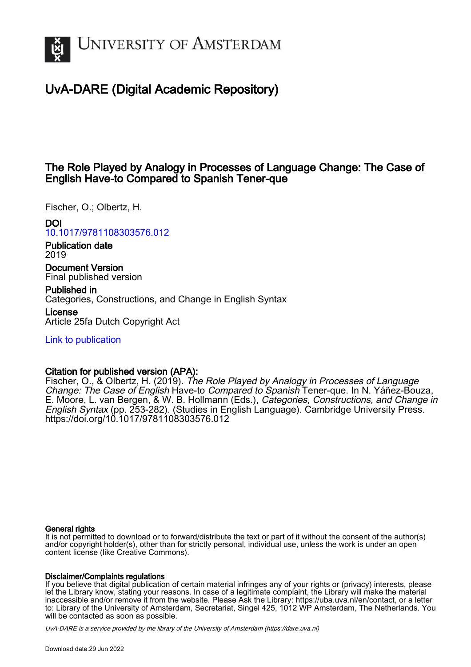

# UvA-DARE (Digital Academic Repository)

# The Role Played by Analogy in Processes of Language Change: The Case of English Have-to Compared to Spanish Tener-que

Fischer, O.; Olbertz, H.

## DOI

[10.1017/9781108303576.012](https://doi.org/10.1017/9781108303576.012)

Publication date 2019

Document Version Final published version

Published in Categories, Constructions, and Change in English Syntax

License Article 25fa Dutch Copyright Act

[Link to publication](https://dare.uva.nl/personal/pure/en/publications/the-role-played-by-analogy-in-processes-of-language-change-the-case-of-english-haveto-compared-to-spanish-tenerque(b832d317-ecc5-4556-ab5a-0194a338b551).html)

## Citation for published version (APA):

Fischer, O., & Olbertz, H. (2019). The Role Played by Analogy in Processes of Language Change: The Case of English Have-to Compared to Spanish Tener-que. In N. Yáñez-Bouza, E. Moore, L. van Bergen, & W. B. Hollmann (Eds.), Categories, Constructions, and Change in English Syntax (pp. 253-282). (Studies in English Language). Cambridge University Press. <https://doi.org/10.1017/9781108303576.012>

## General rights

It is not permitted to download or to forward/distribute the text or part of it without the consent of the author(s) and/or copyright holder(s), other than for strictly personal, individual use, unless the work is under an open content license (like Creative Commons).

## Disclaimer/Complaints regulations

If you believe that digital publication of certain material infringes any of your rights or (privacy) interests, please let the Library know, stating your reasons. In case of a legitimate complaint, the Library will make the material inaccessible and/or remove it from the website. Please Ask the Library: https://uba.uva.nl/en/contact, or a letter to: Library of the University of Amsterdam, Secretariat, Singel 425, 1012 WP Amsterdam, The Netherlands. You will be contacted as soon as possible.

UvA-DARE is a service provided by the library of the University of Amsterdam (http*s*://dare.uva.nl)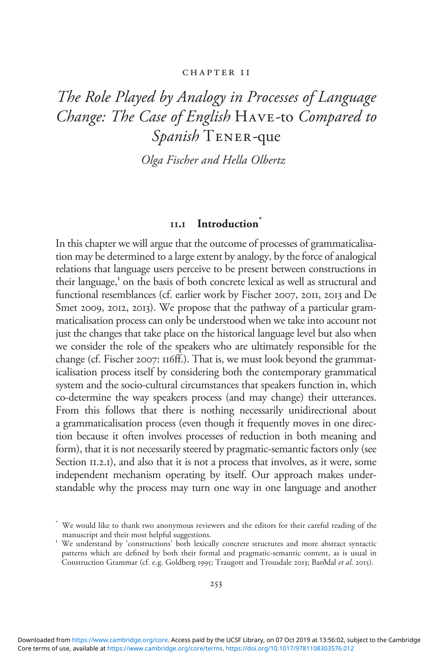#### CHAPTER II

# The Role Played by Analogy in Processes of Language Change: The Case of English Have-to Compared to Spanish TENER-que

Olga Fischer and Hella Olbertz

## 11.1 Introduction\*

In this chapter we will argue that the outcome of processes of grammaticalisation may be determined to a large extent by analogy, by the force of analogical relations that language users perceive to be present between constructions in their language,<sup>1</sup> on the basis of both concrete lexical as well as structural and functional resemblances (cf. earlier work by Fischer 2007, 2011, 2013 and De Smet 2009, 2012, 2013). We propose that the pathway of a particular grammaticalisation process can only be understood when we take into account not just the changes that take place on the historical language level but also when we consider the role of the speakers who are ultimately responsible for the change (cf. Fischer 2007: 116ff.). That is, we must look beyond the grammaticalisation process itself by considering both the contemporary grammatical system and the socio-cultural circumstances that speakers function in, which co-determine the way speakers process (and may change) their utterances. From this follows that there is nothing necessarily unidirectional about a grammaticalisation process (even though it frequently moves in one direction because it often involves processes of reduction in both meaning and form), that it is not necessarily steered by pragmatic-semantic factors only (see Section II.2.1), and also that it is not a process that involves, as it were, some independent mechanism operating by itself. Our approach makes understandable why the process may turn one way in one language and another

We would like to thank two anonymous reviewers and the editors for their careful reading of the manuscript and their most helpful suggestions.

<sup>&</sup>lt;sup>1</sup> We understand by 'constructions' both lexically concrete structures and more abstract syntactic patterns which are defined by both their formal and pragmatic-semantic content, as is usual in Construction Grammar (cf. e.g. Goldberg 1995; Traugott and Trousdale 2013; Barðdal et al. 2015).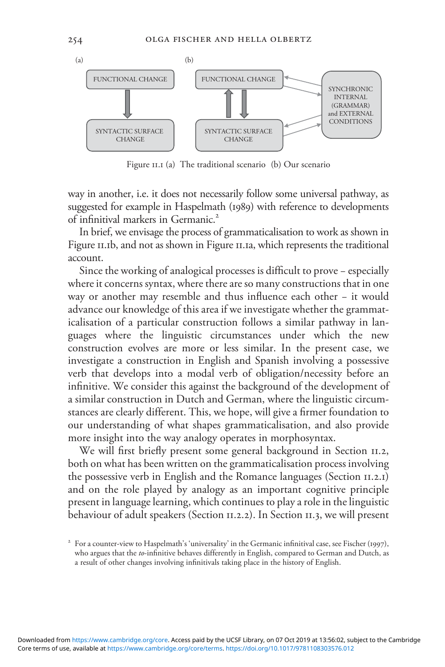

Figure 11.1 (a) The traditional scenario (b) Our scenario

way in another, i.e. it does not necessarily follow some universal pathway, as suggested for example in Haspelmath (1989) with reference to developments of infinitival markers in Germanic.<sup>2</sup>

In brief, we envisage the process of grammaticalisation to work as shown in Figure 11.1b, and not as shown in Figure 11.1a, which represents the traditional account.

Since the working of analogical processes is difficult to prove − especially where it concerns syntax, where there are so many constructions that in one way or another may resemble and thus influence each other − it would advance our knowledge of this area if we investigate whether the grammaticalisation of a particular construction follows a similar pathway in languages where the linguistic circumstances under which the new construction evolves are more or less similar. In the present case, we investigate a construction in English and Spanish involving a possessive verb that develops into a modal verb of obligation/necessity before an infinitive. We consider this against the background of the development of a similar construction in Dutch and German, where the linguistic circumstances are clearly different. This, we hope, will give a firmer foundation to our understanding of what shapes grammaticalisation, and also provide more insight into the way analogy operates in morphosyntax.

We will first briefly present some general background in Section 11.2, both on what has been written on the grammaticalisation process involving the possessive verb in English and the Romance languages (Section 11.2.1) and on the role played by analogy as an important cognitive principle present in language learning, which continues to play a role in the linguistic behaviour of adult speakers (Section 11.2.2). In Section 11.3, we will present

<sup>&</sup>lt;sup>2</sup> For a counter-view to Haspelmath's 'universality' in the Germanic infinitival case, see Fischer (1997), who argues that the *to*-infinitive behaves differently in English, compared to German and Dutch, as a result of other changes involving infinitivals taking place in the history of English.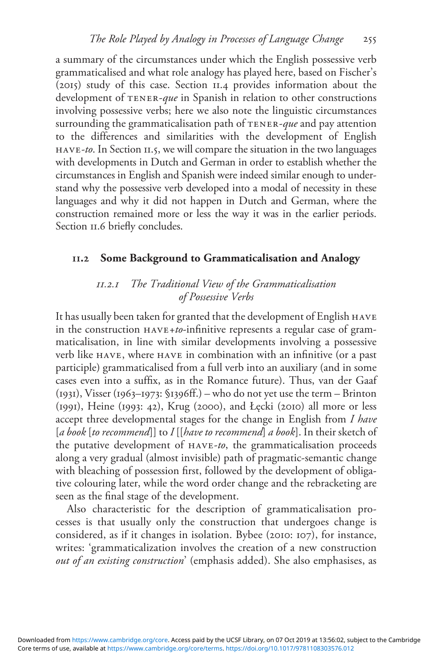a summary of the circumstances under which the English possessive verb grammaticalised and what role analogy has played here, based on Fischer's (2015) study of this case. Section 11.4 provides information about the development of TENER-que in Spanish in relation to other constructions involving possessive verbs; here we also note the linguistic circumstances surrounding the grammaticalisation path of  $TENER-que$  and pay attention to the differences and similarities with the development of English have-to. In Section 11.5, we will compare the situation in the two languages with developments in Dutch and German in order to establish whether the circumstances in English and Spanish were indeed similar enough to understand why the possessive verb developed into a modal of necessity in these languages and why it did not happen in Dutch and German, where the construction remained more or less the way it was in the earlier periods. Section 11.6 briefly concludes.

## 11.2 Some Background to Grammaticalisation and Analogy

## 11.2.1 The Traditional View of the Grammaticalisation of Possessive Verbs

It has usually been taken for granted that the development of English have in the construction have+to-infinitive represents a regular case of grammaticalisation, in line with similar developments involving a possessive verb like have, where have in combination with an infinitive (or a past participle) grammaticalised from a full verb into an auxiliary (and in some cases even into a suffix, as in the Romance future). Thus, van der Gaaf (1931), Visser (1963–1973: §1396ff.) – who do not yet use the term – Brinton (1991), Heine (1993: 42), Krug (2000), and Łęcki (2010) all more or less accept three developmental stages for the change in English from I have [a book [to recommend]] to  $I[[have to recommend]$  a book]. In their sketch of the putative development of have-to, the grammaticalisation proceeds along a very gradual (almost invisible) path of pragmatic-semantic change with bleaching of possession first, followed by the development of obligative colouring later, while the word order change and the rebracketing are seen as the final stage of the development.

Also characteristic for the description of grammaticalisation processes is that usually only the construction that undergoes change is considered, as if it changes in isolation. Bybee (2010: 107), for instance, writes: 'grammaticalization involves the creation of a new construction out of an existing construction' (emphasis added). She also emphasises, as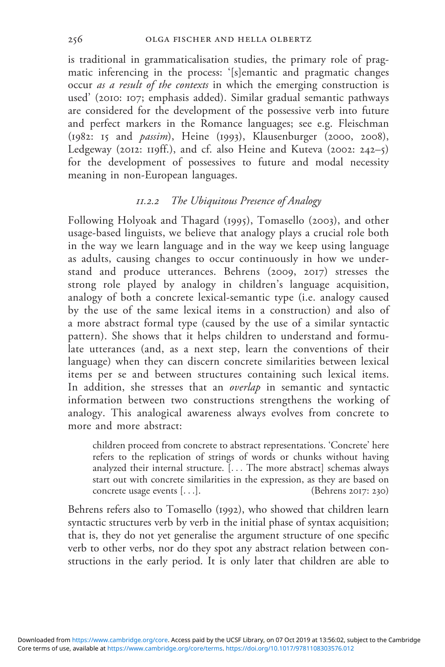is traditional in grammaticalisation studies, the primary role of pragmatic inferencing in the process: '[s]emantic and pragmatic changes occur *as a result of the contexts* in which the emerging construction is used' (2010: 107; emphasis added). Similar gradual semantic pathways are considered for the development of the possessive verb into future and perfect markers in the Romance languages; see e.g. Fleischman (1982: 15 and passim), Heine (1993), Klausenburger (2000, 2008), Ledgeway (2012: 119ff.), and cf. also Heine and Kuteva (2002: 242–5) for the development of possessives to future and modal necessity meaning in non-European languages.

## 11.2.2 The Ubiquitous Presence of Analogy

Following Holyoak and Thagard (1995), Tomasello (2003), and other usage-based linguists, we believe that analogy plays a crucial role both in the way we learn language and in the way we keep using language as adults, causing changes to occur continuously in how we understand and produce utterances. Behrens (2009, 2017) stresses the strong role played by analogy in children's language acquisition, analogy of both a concrete lexical-semantic type (i.e. analogy caused by the use of the same lexical items in a construction) and also of a more abstract formal type (caused by the use of a similar syntactic pattern). She shows that it helps children to understand and formulate utterances (and, as a next step, learn the conventions of their language) when they can discern concrete similarities between lexical items per se and between structures containing such lexical items. In addition, she stresses that an overlap in semantic and syntactic information between two constructions strengthens the working of analogy. This analogical awareness always evolves from concrete to more and more abstract:

children proceed from concrete to abstract representations. 'Concrete' here refers to the replication of strings of words or chunks without having analyzed their internal structure. [... The more abstract] schemas always start out with concrete similarities in the expression, as they are based on concrete usage events [...]. (Behrens 2017: 230)

Behrens refers also to Tomasello (1992), who showed that children learn syntactic structures verb by verb in the initial phase of syntax acquisition; that is, they do not yet generalise the argument structure of one specific verb to other verbs, nor do they spot any abstract relation between constructions in the early period. It is only later that children are able to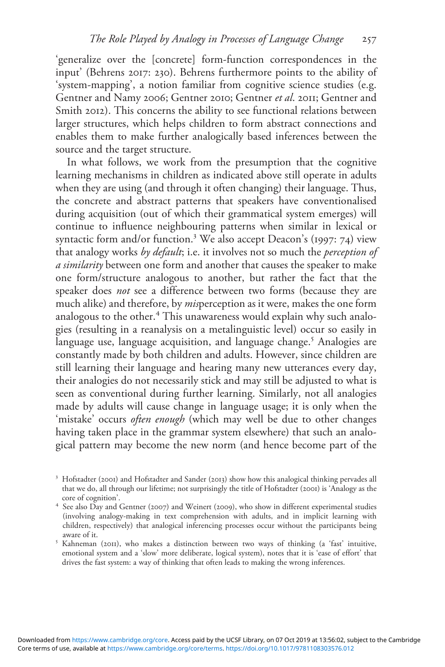'generalize over the [concrete] form-function correspondences in the input' (Behrens 2017: 230). Behrens furthermore points to the ability of 'system-mapping', a notion familiar from cognitive science studies (e.g. Gentner and Namy 2006; Gentner 2010; Gentner et al. 2011; Gentner and Smith 2012). This concerns the ability to see functional relations between larger structures, which helps children to form abstract connections and enables them to make further analogically based inferences between the source and the target structure.

In what follows, we work from the presumption that the cognitive learning mechanisms in children as indicated above still operate in adults when they are using (and through it often changing) their language. Thus, the concrete and abstract patterns that speakers have conventionalised during acquisition (out of which their grammatical system emerges) will continue to influence neighbouring patterns when similar in lexical or syntactic form and/or function.<sup>3</sup> We also accept Deacon's (1997: 74) view that analogy works by default; i.e. it involves not so much the perception of a similarity between one form and another that causes the speaker to make one form/structure analogous to another, but rather the fact that the speaker does not see a difference between two forms (because they are much alike) and therefore, by *mis*perception as it were, makes the one form analogous to the other.<sup>4</sup> This unawareness would explain why such analogies (resulting in a reanalysis on a metalinguistic level) occur so easily in language use, language acquisition, and language change.<sup>5</sup> Analogies are constantly made by both children and adults. However, since children are still learning their language and hearing many new utterances every day, their analogies do not necessarily stick and may still be adjusted to what is seen as conventional during further learning. Similarly, not all analogies made by adults will cause change in language usage; it is only when the 'mistake' occurs often enough (which may well be due to other changes having taken place in the grammar system elsewhere) that such an analogical pattern may become the new norm (and hence become part of the

<sup>&</sup>lt;sup>3</sup> Hofstadter (2001) and Hofstadter and Sander (2013) show how this analogical thinking pervades all that we do, all through our lifetime; not surprisingly the title of Hofstadter (2001) is 'Analogy as the

<sup>&</sup>lt;sup>4</sup> See also Day and Gentner (2007) and Weinert (2009), who show in different experimental studies (involving analogy-making in text comprehension with adults, and in implicit learning with children, respectively) that analogical inferencing processes occur without the participants being

<sup>&</sup>lt;sup>5</sup> Kahneman (2011), who makes a distinction between two ways of thinking (a 'fast' intuitive, emotional system and a 'slow' more deliberate, logical system), notes that it is 'ease of effort' that drives the fast system: a way of thinking that often leads to making the wrong inferences.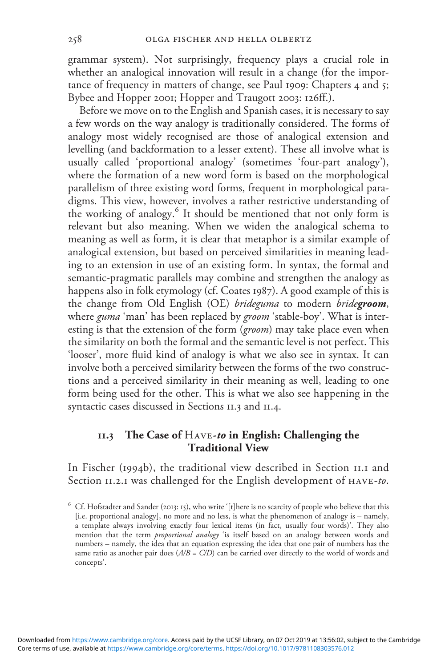grammar system). Not surprisingly, frequency plays a crucial role in whether an analogical innovation will result in a change (for the importance of frequency in matters of change, see Paul 1909: Chapters 4 and 5; Bybee and Hopper 2001; Hopper and Traugott 2003: 126ff.).

Before we move on to the English and Spanish cases, it is necessary to say a few words on the way analogy is traditionally considered. The forms of analogy most widely recognised are those of analogical extension and levelling (and backformation to a lesser extent). These all involve what is usually called 'proportional analogy' (sometimes 'four-part analogy'), where the formation of a new word form is based on the morphological parallelism of three existing word forms, frequent in morphological paradigms. This view, however, involves a rather restrictive understanding of the working of analogy.<sup>6</sup> It should be mentioned that not only form is relevant but also meaning. When we widen the analogical schema to meaning as well as form, it is clear that metaphor is a similar example of analogical extension, but based on perceived similarities in meaning leading to an extension in use of an existing form. In syntax, the formal and semantic-pragmatic parallels may combine and strengthen the analogy as happens also in folk etymology (cf. Coates 1987). A good example of this is the change from Old English (OE) brideguma to modern bridegroom, where *guma* 'man' has been replaced by *groom* 'stable-boy'. What is interesting is that the extension of the form (groom) may take place even when the similarity on both the formal and the semantic level is not perfect. This 'looser', more fluid kind of analogy is what we also see in syntax. It can involve both a perceived similarity between the forms of the two constructions and a perceived similarity in their meaning as well, leading to one form being used for the other. This is what we also see happening in the syntactic cases discussed in Sections 11.3 and 11.4.

#### $11.3$  The Case of  $H_{\text{AVE}}$ -to in English: Challenging the Traditional View

In Fischer (1994b), the traditional view described in Section 11.1 and Section II.2.1 was challenged for the English development of HAVE-to.

<sup>&</sup>lt;sup>6</sup> Cf. Hofstadter and Sander (2013: 15), who write '[t]here is no scarcity of people who believe that this [i.e. proportional analogy], no more and no less, is what the phenomenon of analogy is – namely, a template always involving exactly four lexical items (in fact, usually four words)'. They also mention that the term *proportional analogy* 'is itself based on an analogy between words and numbers – namely, the idea that an equation expressing the idea that one pair of numbers has the same ratio as another pair does  $(A/B = C/D)$  can be carried over directly to the world of words and concepts'.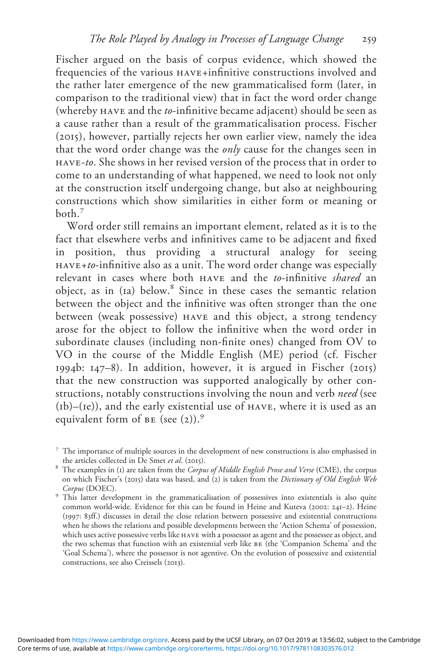Fischer argued on the basis of corpus evidence, which showed the frequencies of the various  $HAVE + infinitive$  constructions involved and the rather later emergence of the new grammaticalised form (later, in comparison to the traditional view) that in fact the word order change (whereby have and the to-infinitive became adjacent) should be seen as a cause rather than a result of the grammaticalisation process. Fischer (2015), however, partially rejects her own earlier view, namely the idea that the word order change was the only cause for the changes seen in have-to. She shows in her revised version of the process that in order to come to an understanding of what happened, we need to look not only at the construction itself undergoing change, but also at neighbouring constructions which show similarities in either form or meaning or  $both<sup>7</sup>$ 

Word order still remains an important element, related as it is to the fact that elsewhere verbs and infinitives came to be adjacent and fixed in position, thus providing a structural analogy for seeing  $h_{\text{HAVE}+to}$ -infinitive also as a unit. The word order change was especially relevant in cases where both have and the to-infinitive shared an object, as in (1a) below.<sup>8</sup> Since in these cases the semantic relation between the object and the infinitive was often stronger than the one between (weak possessive) have and this object, a strong tendency arose for the object to follow the infinitive when the word order in subordinate clauses (including non-finite ones) changed from OV to VO in the course of the Middle English (ME) period (cf. Fischer 1994b: 147–8). In addition, however, it is argued in Fischer (2015) that the new construction was supported analogically by other constructions, notably constructions involving the noun and verb need (see  $(h)$ –(1e)), and the early existential use of  $HAVE$ , where it is used as an equivalent form of  $BE$  (see (2)).<sup>9</sup>

<sup>7</sup> The importance of multiple sources in the development of new constructions is also emphasised in

the articles collected in De Smet et al. (2015).<br><sup>8</sup> The examples in (1) are taken from the *Corpus of Middle English Prose and Verse* (CME), the corpus on which Fischer's (2015) data was based, and (2) is taken from the Dictionary of Old English Web Corpus (DOEC). <sup>9</sup> This latter development in the grammaticalisation of possessives into existentials is also quite

common world-wide. Evidence for this can be found in Heine and Kuteva (2002: 241–2). Heine (1997: 83ff.) discusses in detail the close relation between possessive and existential constructions when he shows the relations and possible developments between the 'Action Schema' of possession, which uses active possessive verbs like have with a possessor as agent and the possessee as object, and the two schemas that function with an existential verb like be (the 'Companion Schema' and the 'Goal Schema'), where the possessor is not agentive. On the evolution of possessive and existential constructions, see also Creissels (2013).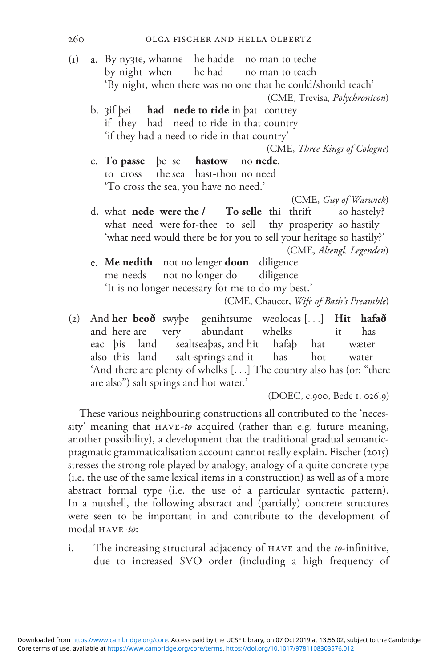- (1) a. By nyȝte, whanne he hadde no man to teche by night when he had no man to teach 'By night, when there was no one that he could/should teach' (CME, Trevisa, Polychronicon) b.  $3$ if þei **had nede to ride** in þat contrey if they had need to ride in that country 'if they had a need to ride in that country' (CME, Three Kings of Cologne)<br>no **nede**. c. To passe be se hastow to cross the sea hast-thou no need 'To cross the sea, you have no need.' (CME, Guy of Warwick) d. what **nede were the /** To selle thi thrift so hastely? what need were for-thee to sell thy prosperity so hastily 'what need would there be for you to sell your heritage so hastily?' (CME, Altengl. Legenden) e. Me nedith not no lenger doon diligence me needs not no longer do diligence 'It is no longer necessary for me to do my best.' (CME, Chaucer, Wife of Bath's Preamble) (2) And her beoð swyþe genihtsume weolocas [...] Hit hafað
- and here are very abundant whelks it has eac þis land sealtseaþas, and hit hafaþ hat wæter also this land salt-springs and it has hot water 'And there are plenty of whelks [...] The country also has (or: "there are also") salt springs and hot water.'

(DOEC, c.900, Bede 1, 026.9)

These various neighbouring constructions all contributed to the 'necessity' meaning that HAVE-to acquired (rather than e.g. future meaning, another possibility), a development that the traditional gradual semanticpragmatic grammaticalisation account cannot really explain. Fischer (2015) stresses the strong role played by analogy, analogy of a quite concrete type (i.e. the use of the same lexical items in a construction) as well as of a more abstract formal type (i.e. the use of a particular syntactic pattern). In a nutshell, the following abstract and (partially) concrete structures were seen to be important in and contribute to the development of modal HAVE-to:

i. The increasing structural adjacency of HAVE and the to-infinitive, due to increased SVO order (including a high frequency of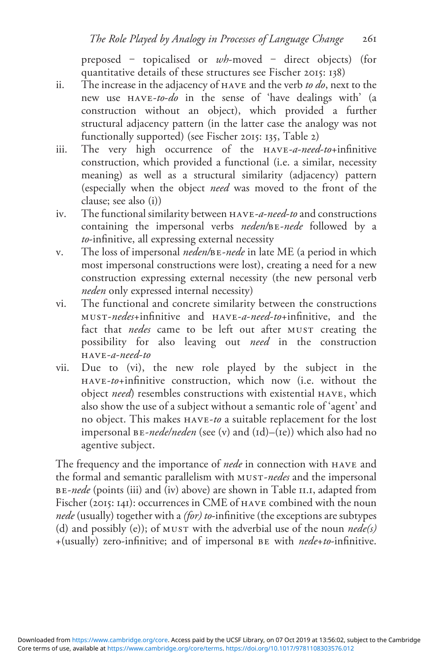preposed – topicalised or wh-moved – direct objects) (for quantitative details of these structures see Fischer 2015: 138)

- ii. The increase in the adjacency of  $HAVE$  and the verb to do, next to the new use have-to-do in the sense of 'have dealings with' (a construction without an object), which provided a further structural adjacency pattern (in the latter case the analogy was not functionally supported) (see Fischer 2015: 135, Table 2)
- iii. The very high occurrence of the have-a-need-to+infinitive construction, which provided a functional (i.e. a similar, necessity meaning) as well as a structural similarity (adjacency) pattern (especially when the object need was moved to the front of the clause; see also (i))
- iv. The functional similarity between have-a-need-to and constructions containing the impersonal verbs neden/be-nede followed by a to-infinitive, all expressing external necessity
- v. The loss of impersonal neden/be-nede in late ME (a period in which most impersonal constructions were lost), creating a need for a new construction expressing external necessity (the new personal verb neden only expressed internal necessity)
- vi. The functional and concrete similarity between the constructions must-nedes+infinitive and have-a-need-to+infinitive, and the fact that nedes came to be left out after MUST creating the possibility for also leaving out need in the construction  $HAVE-d-need-to$
- vii. Due to (vi), the new role played by the subject in the have-to+infinitive construction, which now (i.e. without the object need) resembles constructions with existential have, which also show the use of a subject without a semantic role of 'agent' and no object. This makes have-to a suitable replacement for the lost impersonal  $BE$ -nede/neden (see (v) and (1d)–(1e)) which also had no agentive subject.

The frequency and the importance of *nede* in connection with HAVE and the formal and semantic parallelism with MUST-nedes and the impersonal BE-nede (points (iii) and (iv) above) are shown in Table II.I, adapted from Fischer (2015: 141): occurrences in CME of have combined with the noun nede (usually) together with a (for) to-infinitive (the exceptions are subtypes (d) and possibly (e)); of MUST with the adverbial use of the noun  $\text{ned}(s)$ +(usually) zero-infinitive; and of impersonal be with nede+to-infinitive.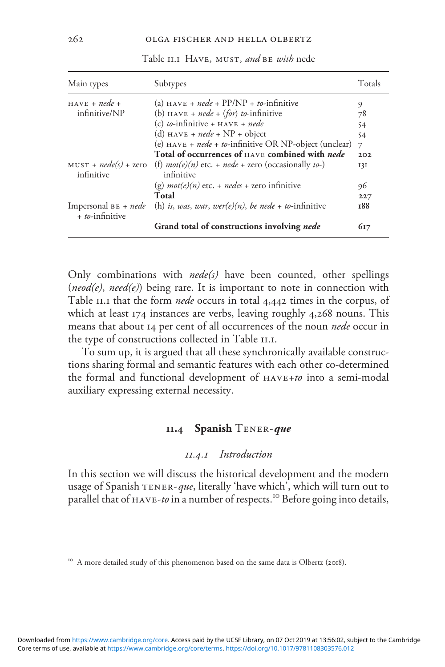| Main types                                       | Subtypes                                                                                      | Totals |
|--------------------------------------------------|-----------------------------------------------------------------------------------------------|--------|
| $HAVE + nede +$                                  | (a) $HAVE + node + PP/NP + to-infinite$                                                       | 9      |
| infinitive/NP                                    | (b) $HAVE + nede + (for) to-infinite$                                                         | 78     |
|                                                  | (c) to-infinitive + $HAVE + node$                                                             | 54     |
|                                                  | (d) HAVE + nede + $NP$ + object                                                               | 54     |
|                                                  | (e) $HAVE + node + to-infinite OR NP-object (unclear)$                                        | 7      |
|                                                  | Total of occurrences of HAVE combined with <i>nede</i>                                        | 202    |
| infinitive                                       | $MUST + nede(s) + zero$ (f) $mot(e)(n)$ etc. + $nede + zero$ (occasionally to-)<br>infinitive | 13I    |
|                                                  | (g) $mot(e)(n)$ etc. + nedes + zero infinitive                                                | 96     |
|                                                  | Total                                                                                         | 227    |
| Impersonal $BE + \text{nede}$<br>+ to-infinitive | (h) is, was, war, wer(e)(n), be nede + to-infinitive                                          | 188    |
|                                                  | Grand total of constructions involving nede                                                   | 617    |

Table II.I HAVE, MUST, and BE with nede

Only combinations with  $nede(s)$  have been counted, other spellings (neod(e), need(e)) being rare. It is important to note in connection with Table 11.1 that the form nede occurs in total 4,442 times in the corpus, of which at least 174 instances are verbs, leaving roughly 4,268 nouns. This means that about 14 per cent of all occurrences of the noun nede occur in the type of constructions collected in Table 11.1.

To sum up, it is argued that all these synchronically available constructions sharing formal and semantic features with each other co-determined the formal and functional development of have+to into a semi-modal auxiliary expressing external necessity.

#### II.4 Spanish TENER-que

## 11.4.1 Introduction

In this section we will discuss the historical development and the modern usage of Spanish  $TENER$ -que, literally 'have which', which will turn out to parallel that of  $H_{A}$ ve-to in a number of respects.<sup>10</sup> Before going into details,

<sup>10</sup> A more detailed study of this phenomenon based on the same data is Olbertz (2018).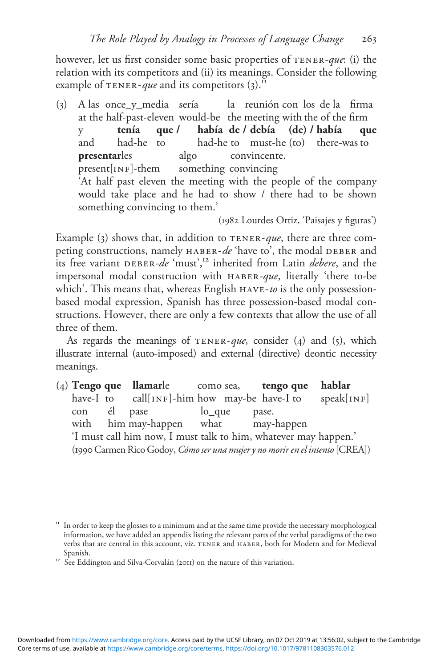however, let us first consider some basic properties of TENER-que: (i) the relation with its competitors and (ii) its meanings. Consider the following example of TENER-*que* and its competitors  $(3)$ .<sup>11</sup>

(3) A las once\_y\_media sería la reunión con los de la firma at the half-past-eleven would-be the meeting with the of the firm y **tenía que / había de / debía (de) / había que**<br>and had-he to had-he to must-he (to) there-was to and had-he to had-he to must-he (to) there-was to **presentarles** algo convincente. present[INF]-them something convincing 'At half past eleven the meeting with the people of the company would take place and he had to show / there had to be shown something convincing to them.'

(1982 Lourdes Ortiz, 'Paisajes y figuras')

Example (3) shows that, in addition to  $TENER$ -que, there are three competing constructions, namely  $HABER-de 'have to',$  the modal DEBER and its free variant DEBER-de 'must',<sup>12</sup> inherited from Latin *debere*, and the impersonal modal construction with haber-que, literally 'there to-be which'. This means that, whereas English HAVE-to is the only possessionbased modal expression, Spanish has three possession-based modal constructions. However, there are only a few contexts that allow the use of all three of them.

As regards the meanings of  $TENER$ -que, consider (4) and (5), which illustrate internal (auto-imposed) and external (directive) deontic necessity meanings.

(4) Tengo que llamarle como sea, tengo que hablar have-I to call[INF]-him how may-be have-I to speak[INF] con él pase lo\_que pase. with him may-happen what may-happen 'I must call him now, I must talk to him, whatever may happen.' (1990Carmen Rico Godoy, Cómo ser una mujer y no morir en el intento [CREA])

<sup>&</sup>lt;sup>11</sup> In order to keep the glosses to a minimum and at the same time provide the necessary morphological information, we have added an appendix listing the relevant parts of the verbal paradigms of the two verbs that are central in this account, viz. tener and haber, both for Modern and for Medieval

Spanish. 12 See Eddington and Silva-Corvalán (2011) on the nature of this variation.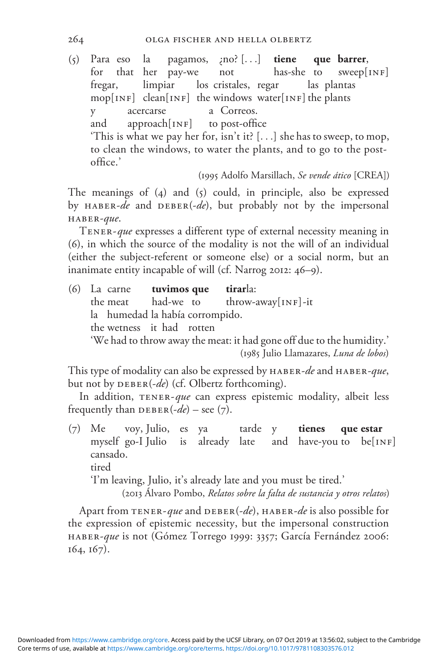(5) Para eso la pagamos, ¿no? [...] tiene que barrer, for that her pay-we not has-she to sweep[INF] fregar, limpiar los cristales, regar las plantas  $mop[INF]$  clean[INF] the windows water[INF] the plants y acercarse a Correos. and approach  $[NF]$  to post-office 'This is what we pay her for, isn't it?  $[...]$  she has to sweep, to mop, to clean the windows, to water the plants, and to go to the postoffice.'

(1995 Adolfo Marsillach, Se vende ático [CREA])

The meanings of (4) and (5) could, in principle, also be expressed by HABER-de and DEBER(-de), but probably not by the impersonal haber-que.

TENER-que expresses a different type of external necessity meaning in (6), in which the source of the modality is not the will of an individual (either the subject-referent or someone else) or a social norm, but an inanimate entity incapable of will (cf. Narrog 2012: 46–9).

(6) La carne tuvimos que tirarla: the meat  $h$  had-we to throw-away[INF]-it la humedad la había corrompido. the wetness it had rotten 'We had to throw away the meat: it had gone off due to the humidity.' (1985 Julio Llamazares, Luna de lobos)

This type of modality can also be expressed by HABER-de and HABER-que, but not by  $DEBER(-de)$  (cf. Olbertz forthcoming).

In addition, TENER-que can express epistemic modality, albeit less frequently than  $DEBER(-de)$  – see (7).

(7) Me voy, Julio, es ya tarde y tienes que estar myself go-I Julio is already late and have-you to be  $[NF]$ cansado. tired

'I'm leaving, Julio, it's already late and you must be tired.'

(2013 Álvaro Pombo, Relatos sobre la falta de sustancia y otros relatos)

Apart from TENER-que and DEBER(-de), HABER-de is also possible for the expression of epistemic necessity, but the impersonal construction HABER-que is not (Gómez Torrego 1999: 3357; García Fernández 2006: 164, 167).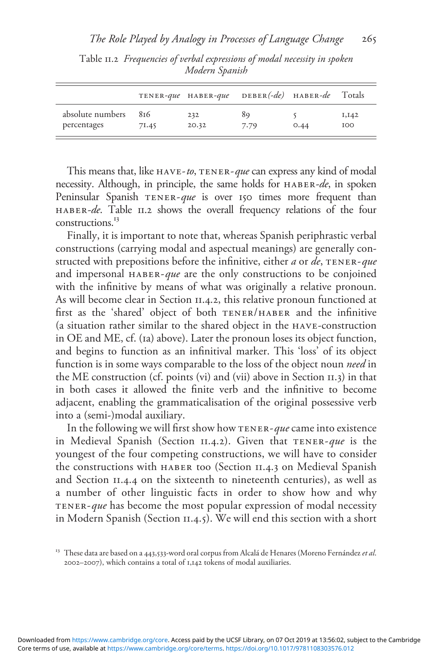|                  |       | TENER-que HABER-que | $DEBER(-de)$ HABER-de |      | Totals     |
|------------------|-------|---------------------|-----------------------|------|------------|
| absolute numbers | 816   | 232                 | 89                    | 0.44 | I, I42     |
| percentages      | 71.45 | 20.32               | 7.79                  |      | <b>IOO</b> |

Table 11.2 Frequencies of verbal expressions of modal necessity in spoken Modern Spanish

This means that, like  $HAVE-*to*$ ,  $TENER-*que*$  can express any kind of modal necessity. Although, in principle, the same holds for HABER-de, in spoken Peninsular Spanish TENER-que is over 150 times more frequent than haber-de. Table 11.2 shows the overall frequency relations of the four constructions.<sup>13</sup>

Finally, it is important to note that, whereas Spanish periphrastic verbal constructions (carrying modal and aspectual meanings) are generally constructed with prepositions before the infinitive, either  $a$  or  $de$ , TENER-que and impersonal  $HABER-que$  are the only constructions to be conjoined with the infinitive by means of what was originally a relative pronoun. As will become clear in Section 11.4.2, this relative pronoun functioned at first as the 'shared' object of both tener/haber and the infinitive (a situation rather similar to the shared object in the have-construction in OE and ME, cf. (1a) above). Later the pronoun loses its object function, and begins to function as an infinitival marker. This 'loss' of its object function is in some ways comparable to the loss of the object noun need in the ME construction (cf. points (vi) and (vii) above in Section 11.3) in that in both cases it allowed the finite verb and the infinitive to become adjacent, enabling the grammaticalisation of the original possessive verb into a (semi-)modal auxiliary.

In the following we will first show how TENER-que came into existence in Medieval Spanish (Section 11.4.2). Given that  $TENER$ -que is the youngest of the four competing constructions, we will have to consider the constructions with haber too (Section 11.4.3 on Medieval Spanish and Section 11.4.4 on the sixteenth to nineteenth centuries), as well as a number of other linguistic facts in order to show how and why tener-que has become the most popular expression of modal necessity in Modern Spanish (Section 11.4.5). We will end this section with a short

 $13$  These data are based on a 443,533-word oral corpus from Alcalá de Henares (Moreno Fernández et al. 2002–2007), which contains a total of 1,142 tokens of modal auxiliaries.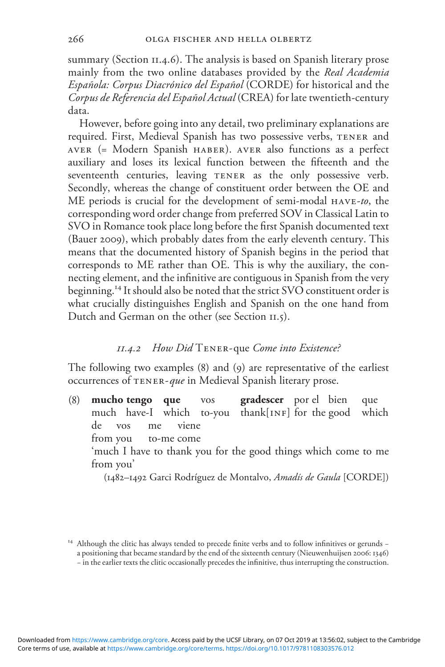summary (Section 11.4.6). The analysis is based on Spanish literary prose mainly from the two online databases provided by the Real Academia Española: Corpus Diacrónico del Español (CORDE) for historical and the Corpus de Referencia del Español Actual (CREA) for late twentieth-century data.

However, before going into any detail, two preliminary explanations are required. First, Medieval Spanish has two possessive verbs, tener and aver (= Modern Spanish haber). aver also functions as a perfect auxiliary and loses its lexical function between the fifteenth and the seventeenth centuries, leaving TENER as the only possessive verb. Secondly, whereas the change of constituent order between the OE and ME periods is crucial for the development of semi-modal  $HAVE-to$ , the corresponding word order change from preferred SOV in Classical Latin to SVO in Romance took place long before the first Spanish documented text (Bauer 2009), which probably dates from the early eleventh century. This means that the documented history of Spanish begins in the period that corresponds to ME rather than OE. This is why the auxiliary, the connecting element, and the infinitive are contiguous in Spanish from the very beginning.<sup>14</sup> It should also be noted that the strict SVO constituent order is what crucially distinguishes English and Spanish on the one hand from Dutch and German on the other (see Section 11.5).

#### $11.4.2$  How Did TENER-que Come into Existence?

The following two examples (8) and (9) are representative of the earliest occurrences of tener-que in Medieval Spanish literary prose.

(8) mucho tengo que vos gradescer por el bien que much have-I which to-you thank $[NF]$  for the good which de vos me viene from you to-me come 'much I have to thank you for the good things which come to me from you' (1482–1492 Garci Rodríguez de Montalvo, Amadís de Gaula [CORDE])

<sup>14</sup> Although the clitic has always tended to precede finite verbs and to follow infinitives or gerunds − a positioning that became standard by the end of the sixteenth century (Nieuwenhuijsen 2006: 1346) − in the earlier texts the clitic occasionally precedes the infinitive, thus interrupting the construction.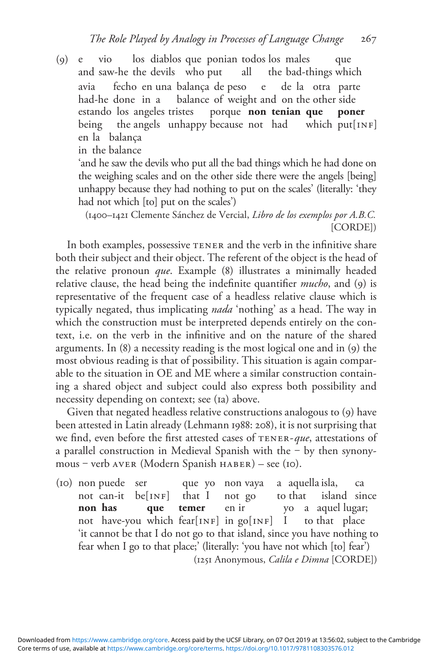(9) e vio los diablos que ponian todos los males que and saw-he the devils who put all the bad-things which avia fecho en una balança de peso e de la otra parte had-he done in a balance of weight and on the other side estando los angeles tristes porque non tenian que poner being the angels unhappy because not had which put[INF] en la balança in the balance

'and he saw the devils who put all the bad things which he had done on the weighing scales and on the other side there were the angels [being] unhappy because they had nothing to put on the scales' (literally: 'they had not which [to] put on the scales')

(1400–1421 Clemente Sánchez de Vercial, Libro de los exemplos por A.B.C. [CORDE])

In both examples, possessive TENER and the verb in the infinitive share both their subject and their object. The referent of the object is the head of the relative pronoun que. Example (8) illustrates a minimally headed relative clause, the head being the indefinite quantifier *mucho*, and (9) is representative of the frequent case of a headless relative clause which is typically negated, thus implicating nada 'nothing' as a head. The way in which the construction must be interpreted depends entirely on the context, i.e. on the verb in the infinitive and on the nature of the shared arguments. In (8) a necessity reading is the most logical one and in (9) the most obvious reading is that of possibility. This situation is again comparable to the situation in OE and ME where a similar construction containing a shared object and subject could also express both possibility and necessity depending on context; see (1a) above.

Given that negated headless relative constructions analogous to (9) have been attested in Latin already (Lehmann 1988: 208), it is not surprising that we find, even before the first attested cases of TENER-que, attestations of a parallel construction in Medieval Spanish with the  $-$  by then synonymous ‒ verb aver (Modern Spanish haber) – see (10).

(10) non puede ser que yo non vaya a aquella isla, ca not can-it  $be[INF]$  that I not go to that island since **non has que temer** en ir yo a aquel lugar; not have-you which fear[INF] in  $g_0$ [INF] I to that place 'it cannot be that I do not go to that island, since you have nothing to fear when I go to that place;' (literally: 'you have not which [to] fear') (1251 Anonymous, Calila e Dimna [CORDE])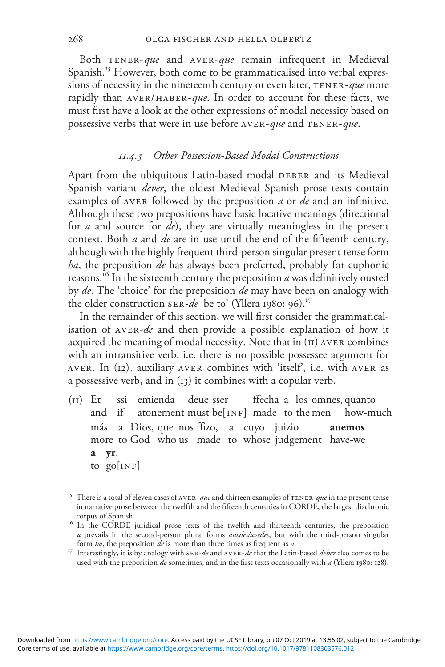Both  $TENER-que$  and  $AVER-que$  remain infrequent in Medieval Spanish.<sup>15</sup> However, both come to be grammaticalised into verbal expressions of necessity in the nineteenth century or even later,  $TENER$ -que more rapidly than  $AVER/HABER-que$ . In order to account for these facts, we must first have a look at the other expressions of modal necessity based on possessive verbs that were in use before AVER-que and TENER-que.

#### 11.4.3 Other Possession-Based Modal Constructions

Apart from the ubiquitous Latin-based modal DEBER and its Medieval Spanish variant *dever*, the oldest Medieval Spanish prose texts contain examples of AVER followed by the preposition *a* or *de* and an infinitive. Although these two prepositions have basic locative meanings (directional for  $a$  and source for  $de$ ), they are virtually meaningless in the present context. Both *a* and *de* are in use until the end of the fifteenth century, although with the highly frequent third-person singular present tense form ha, the preposition de has always been preferred, probably for euphonic reasons.<sup>16</sup> In the sixteenth century the preposition  $\vec{a}$  was definitively ousted by *de*. The 'choice' for the preposition *de* may have been on analogy with the older construction ser-de 'be to' (Yllera 1980: 96).<sup>17</sup>

In the remainder of this section, we will first consider the grammaticalisation of AVER-de and then provide a possible explanation of how it acquired the meaning of modal necessity. Note that in (11) aver combines with an intransitive verb, i.e. there is no possible possessee argument for aver. In (12), auxiliary aver combines with 'itself', i.e. with aver as a possessive verb, and in (13) it combines with a copular verb.

- (11) Et ssi emienda deue sser ffecha a los omnes, quanto and if atonement must be[INF] made to the men how-much más a Dios, que nos ffizo, a cuyo juizio auemos more to God who us made to whose judgement have-we a yr. to  $go[INF]$
- <sup>15</sup> There is a total of eleven cases of AVER-*que* and thirteen examples of TENER-*que* in the present tense in narrative prose between the twelfth and the fifteenth centuries in CORDE, the largest diachronic
- <sup>16</sup> In the CORDE juridical prose texts of the twelfth and thirteenth centuries, the preposition *a* prevails in the second-person plural forms *auedes/avedes*, but with the third-person singular form  $ha$ , the preposition  $de$  is more than three times as frequent as  $a$ .
- <sup>17</sup> Interestingly, it is by analogy with  $s_R$ -de and  $AVER$ -de that the Latin-based deber also comes to be used with the preposition  $de$  sometimes, and in the first texts occasionally with  $a$  (Yllera 1980: 128).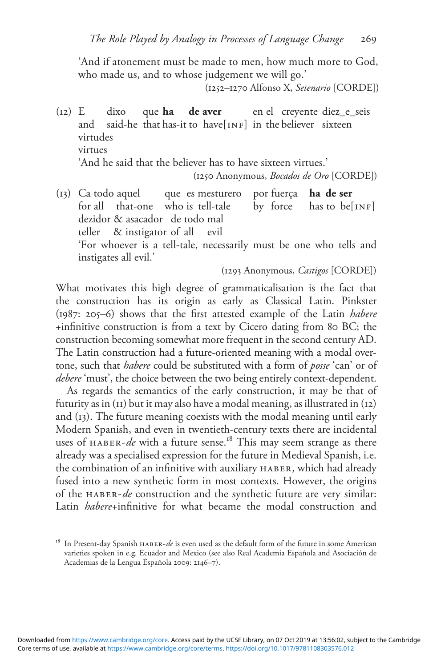'And if atonement must be made to men, how much more to God, who made us, and to whose judgement we will go.'

(1252–1270 Alfonso X, Setenario [CORDE])

- $(12)$  E dixo que **ha de aver** en el creyente diez e seis and said-he that has-it to have[INF] in the believer sixteen virtudes virtues 'And he said that the believer has to have sixteen virtues.' (1250 Anonymous, Bocados de Oro [CORDE])
- $(13)$  Ca todo aquel que es mesturero por fuerça ha de ser for all that-one who is tell-tale by force has to be[INF] dezidor & asacador de todo mal teller & instigator of all evil 'For whoever is a tell-tale, necessarily must be one who tells and instigates all evil.'

(1293 Anonymous, Castigos [CORDE])

What motivates this high degree of grammaticalisation is the fact that the construction has its origin as early as Classical Latin. Pinkster (1987: 205–6) shows that the first attested example of the Latin habere +infinitive construction is from a text by Cicero dating from 80 BC; the construction becoming somewhat more frequent in the second century AD. The Latin construction had a future-oriented meaning with a modal overtone, such that *habere* could be substituted with a form of *posse* 'can' or of debere 'must', the choice between the two being entirely context-dependent.

As regards the semantics of the early construction, it may be that of futurity as in (11) but it may also have a modal meaning, as illustrated in (12) and (13). The future meaning coexists with the modal meaning until early Modern Spanish, and even in twentieth-century texts there are incidental uses of  $HABER-de$  with a future sense.<sup>18</sup> This may seem strange as there already was a specialised expression for the future in Medieval Spanish, i.e. the combination of an infinitive with auxiliary haber, which had already fused into a new synthetic form in most contexts. However, the origins of the HABER-de construction and the synthetic future are very similar: Latin *habere*+infinitive for what became the modal construction and

<sup>&</sup>lt;sup>18</sup> In Present-day Spanish  $HABER-de$  is even used as the default form of the future in some American varieties spoken in e.g. Ecuador and Mexico (see also Real Academia Española and Asociación de Academias de la Lengua Española 2009: 2146–7).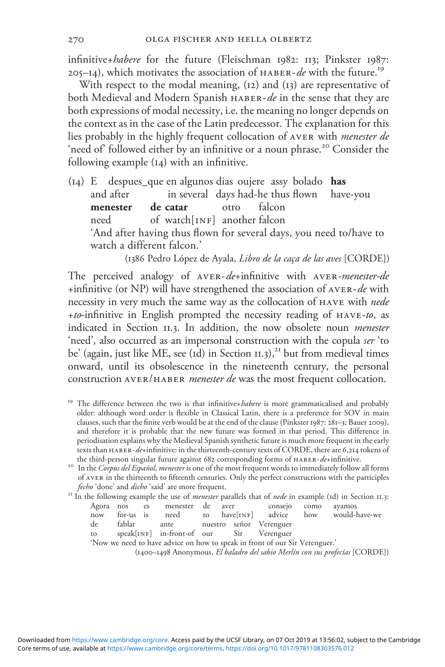infinitive+habere for the future (Fleischman 1982: 113; Pinkster 1987: 205–14), which motivates the association of  $HABER-de$  with the future.<sup>19</sup>

With respect to the modal meaning, (12) and (13) are representative of both Medieval and Modern Spanish HABER-de in the sense that they are both expressions of modal necessity, i.e. the meaning no longer depends on the context as in the case of the Latin predecessor. The explanation for this lies probably in the highly frequent collocation of aver with menester de 'need of' followed either by an infinitive or a noun phrase.<sup>20</sup> Consider the following example (14) with an infinitive.

(14) E despues\_que en algunos dias oujere assy bolado has and after in several days had-he thus flown have-you menester de catar otro falcon menester de catar otro falcon need of watch[INF] another falcon 'And after having thus flown for several days, you need to/have to watch a different falcon.'

(1386 Pedro López de Ayala, Libro de la caça de las aves [CORDE])

The perceived analogy of AVER-de+infinitive with AVER-menester-de +infinitive (or NP) will have strengthened the association of AVER-de with necessity in very much the same way as the collocation of HAVE with nede +to-infinitive in English prompted the necessity reading of  $HAVE-to$ , as indicated in Section 11.3. In addition, the now obsolete noun *menester* 'need', also occurred as an impersonal construction with the copula ser 'to be' (again, just like ME, see ( $id$ ) in Section  $II.3$ ),<sup>21</sup> but from medieval times onward, until its obsolescence in the nineteenth century, the personal construction AVER/HABER *menester de* was the most frequent collocation.

<sup>19</sup> The difference between the two is that infinitive+*habere* is more grammaticalised and probably older: although word order is flexible in Classical Latin, there is a preference for SOV in main clauses, such that the finite verb would be at the end of the clause (Pinkster 1987: 281–3; Bauer 2009), and therefore it is probable that the new future was formed in that period. This difference in periodisation explains why the Medieval Spanish synthetic future is much more frequent in the early texts than haber-de+infinitive: in the thirteenth-century texts of CORDE, there are 6,214 tokens of

*fecho* 'done' and *dicho* 'said' are more frequent.<br><sup>21</sup> In the following example the use of *menester* parallels that of *nede* in example (1d) in Section 11.3: the third-person singular future against 682 corresponding forms of  $HABER$ -de+infinitive.<br><sup>20</sup> In the *Corpus del Español, menester* is one of the most frequent words to immediately follow all forms of aver in the thirteenth to fifteenth centuries. Only the perfect constructions with the participles

| t In the following example the use of <i>menester</i> parallels that of <i>nede</i> in example (id) in Section 11.3: |    |             |      |  |                     |  |
|----------------------------------------------------------------------------------------------------------------------|----|-------------|------|--|---------------------|--|
| Agora nos                                                                                                            | es | menester de | aver |  | conseto como avamos |  |

|    |  | $\frac{1}{2}$                            |  |  | $\sim$                                                   |
|----|--|------------------------------------------|--|--|----------------------------------------------------------|
|    |  |                                          |  |  | now for-us is need to have[INF] advice how would-have-we |
| de |  | fablar ante nuestro señor Verenguer      |  |  |                                                          |
| to |  | speak[INF] in-front-of our Sir Verenguer |  |  |                                                          |

'Now we need to have advice on how to speak in front of our Sir Verenguer.'

(1400–1498 Anonymous, El baladro del sabio Merlín con sus profecías [CORDE])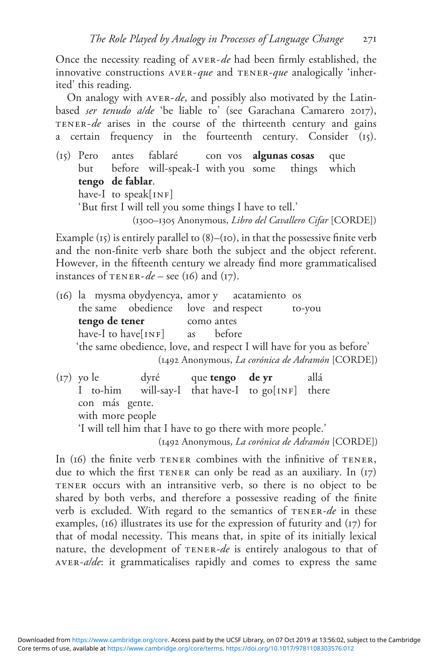Once the necessity reading of AVER-de had been firmly established, the innovative constructions  $AVER$ -que and  $TENER$ -que analogically 'inherited' this reading.

On analogy with  $AVER-de$ , and possibly also motivated by the Latinbased ser tenudo a/de 'be liable to' (see Garachana Camarero 2017), TENER-de arises in the course of the thirteenth century and gains a certain frequency in the fourteenth century. Consider (15).

(15) Pero antes fablaré con vos algunas cosas que but before will-speak-I with you some things which tengo de fablar. have-I to speak[ $INF$ ] 'But first I will tell you some things I have to tell.' (1300–1305 Anonymous, Libro del Cavallero Cifar [CORDE])

Example  $(t_5)$  is entirely parallel to  $(8)$ – $(t_0)$ , in that the possessive finite verb and the non-finite verb share both the subject and the object referent. However, in the fifteenth century we already find more grammaticalised instances of  $TENER-de - sec (16)$  and  $(17)$ .

(16) la mysma obydyencya, amor y acatamiento os the same obedience love and respect to-you tengo de tener como antes have-I to have $\lceil$ INF $\rceil$  as before 'the same obedience, love, and respect I will have for you as before' (1492 Anonymous, La corónica de Adramón [CORDE])

(17) yo le dyré que tengo de yr allá I to-him will-say-I that have-I to go[INF] there con más gente. with more people 'I will tell him that I have to go there with more people.' (1492 Anonymous, La corónica de Adramón [CORDE])

In (16) the finite verb TENER combines with the infinitive of TENER, due to which the first TENER can only be read as an auxiliary. In (17) tener occurs with an intransitive verb, so there is no object to be shared by both verbs, and therefore a possessive reading of the finite verb is excluded. With regard to the semantics of TENER-de in these examples, (16) illustrates its use for the expression of futurity and (17) for that of modal necessity. This means that, in spite of its initially lexical nature, the development of TENER-de is entirely analogous to that of aver-a/de: it grammaticalises rapidly and comes to express the same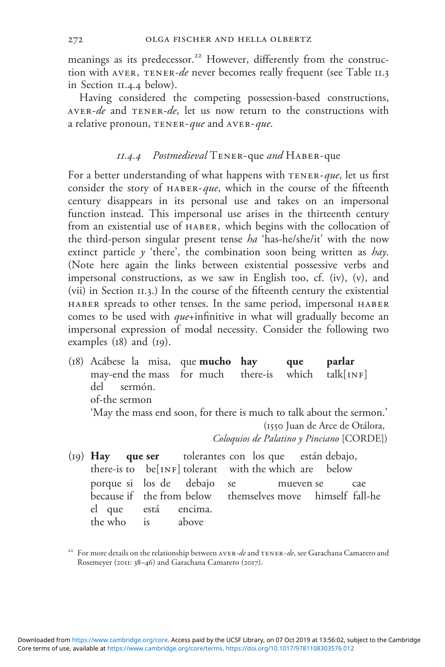meanings as its predecessor.<sup>22</sup> However, differently from the construction with AVER, TENER-de never becomes really frequent (see Table II.3) in Section 11.4.4 below).

Having considered the competing possession-based constructions, AVER-de and TENER-de, let us now return to the constructions with a relative pronoun, TENER-que and AVER-que.

## 11.4.4 Postmedieval Tener-que and Haber-que

For a better understanding of what happens with TENER-que, let us first consider the story of  $HABER-que$ , which in the course of the fifteenth century disappears in its personal use and takes on an impersonal function instead. This impersonal use arises in the thirteenth century from an existential use of haber, which begins with the collocation of the third-person singular present tense  $ha$  'has-he/she/it' with the now extinct particle  $\gamma$  'there', the combination soon being written as *hay*. (Note here again the links between existential possessive verbs and impersonal constructions, as we saw in English too, cf. (iv), (v), and (vii) in Section 11.3.) In the course of the fifteenth century the existential haber spreads to other tenses. In the same period, impersonal haber comes to be used with *que*+infinitive in what will gradually become an impersonal expression of modal necessity. Consider the following two examples (18) and (19).

- (18) Acábese la misa, que mucho hay que parlar may-end the mass for much there-is which talk[INF]<br>del sermón sermón of-the sermon 'May the mass end soon, for there is much to talk about the sermon.' (1550 Juan de Arce de Otálora, Coloquios de Palatino y Pinciano [CORDE])
- (19) Hay que ser tolerantes con los que están debajo, there-is to  $be[INF]$  tolerant with the which are below porque si los de debajo se mueven se cae because if the from below themselves move himself fall-he el que está encima. the who is above

For more details on the relationship between AVER-de and TENER-de, see Garachana Camarero and Rosemeyer (2011: 38–46) and Garachana Camarero (2017).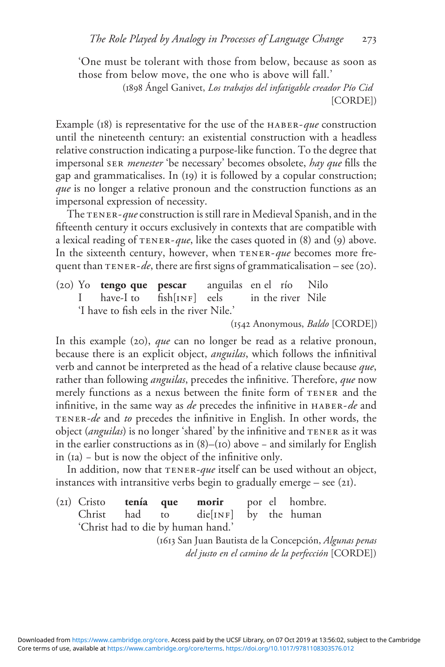'One must be tolerant with those from below, because as soon as those from below move, the one who is above will fall.'

> (1898 Ángel Ganivet, Los trabajos del infatigable creador Pío Cid [CORDE])

Example (18) is representative for the use of the HABER-que construction until the nineteenth century: an existential construction with a headless relative construction indicating a purpose-like function. To the degree that impersonal ser menester 'be necessary' becomes obsolete, hay que fills the gap and grammaticalises. In (19) it is followed by a copular construction; que is no longer a relative pronoun and the construction functions as an impersonal expression of necessity.

The TENER-que construction is still rare in Medieval Spanish, and in the fifteenth century it occurs exclusively in contexts that are compatible with a lexical reading of  $TENER-gue$ , like the cases quoted in (8) and (9) above. In the sixteenth century, however, when  $TENER-que$  becomes more frequent than  $TENER-de$ , there are first signs of grammaticalisation – see (20).

(20) Yo **tengo que pescar** anguilas en el río Nilo<br>I have-I to fish[INF] eels in the river Nile I have-I to fish[INF] eels in the river Nile 'I have to fish eels in the river Nile.'

(1542 Anonymous, Baldo [CORDE])

In this example (20), *que* can no longer be read as a relative pronoun, because there is an explicit object, anguilas, which follows the infinitival verb and cannot be interpreted as the head of a relative clause because que, rather than following *anguilas*, precedes the infinitive. Therefore, que now merely functions as a nexus between the finite form of TENER and the infinitive, in the same way as de precedes the infinitive in HABER-de and tener-de and to precedes the infinitive in English. In other words, the object (anguilas) is no longer 'shared' by the infinitive and TENER as it was in the earlier constructions as in (8)–(10) above − and similarly for English in (1a) − but is now the object of the infinitive only.

In addition, now that TENER-que itself can be used without an object, instances with intransitive verbs begin to gradually emerge – see  $(21)$ .

(21) Cristo tenía que morir por el hombre. Christ had to  $diefINF$  by the human 'Christ had to die by human hand.'

(1613 San Juan Bautista de la Concepción, Algunas penas del justo en el camino de la perfección [CORDE])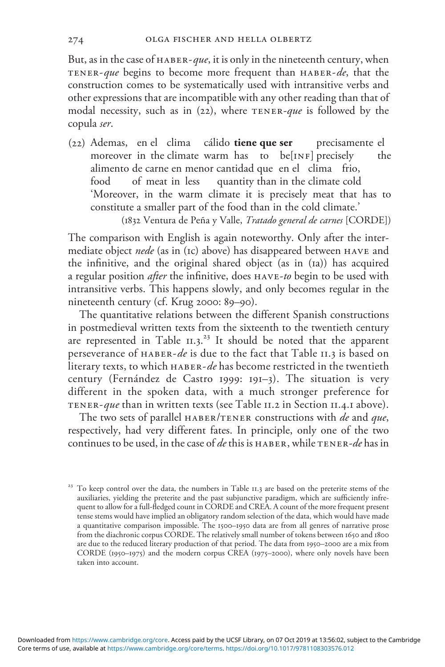But, as in the case of  $HABER-que$ , it is only in the nineteenth century, when TENER-que begins to become more frequent than HABER-de, that the construction comes to be systematically used with intransitive verbs and other expressions that are incompatible with any other reading than that of modal necessity, such as in (22), where  $TENER$ -que is followed by the copula ser.

(22) Ademas, en el clima cálido tiene que ser precisamente el moreover in the climate warm has to  $be[1NF]$  precisely the alimento de carne en menor cantidad que en el clima frio, food of meat in less quantity than in the climate cold 'Moreover, in the warm climate it is precisely meat that has to constitute a smaller part of the food than in the cold climate.'

(1832 Ventura de Peña y Valle, Tratado general de carnes [CORDE])

The comparison with English is again noteworthy. Only after the intermediate object *nede* (as in (Ic) above) has disappeared between HAVE and the infinitive, and the original shared object (as in (1a)) has acquired a regular position *after* the infinitive, does HAVE-to begin to be used with intransitive verbs. This happens slowly, and only becomes regular in the nineteenth century (cf. Krug 2000: 89–90).

The quantitative relations between the different Spanish constructions in postmedieval written texts from the sixteenth to the twentieth century are represented in Table 11.3.<sup>23</sup> It should be noted that the apparent perseverance of HABER-de is due to the fact that Table II.3 is based on literary texts, to which haber-de has become restricted in the twentieth century (Fernández de Castro 1999: 191–3). The situation is very different in the spoken data, with a much stronger preference for tener-que than in written texts (see Table 11.2 in Section 11.4.1 above).

The two sets of parallel HABER/TENER constructions with *de* and *que*, respectively, had very different fates. In principle, only one of the two continues to be used, in the case of de this is  $HABER$ , while  $TENER-de$  has in

<sup>&</sup>lt;sup>23</sup> To keep control over the data, the numbers in Table 11.3 are based on the preterite stems of the auxiliaries, yielding the preterite and the past subjunctive paradigm, which are sufficiently infrequent to allow for a full-fledged count in CORDE and CREA. A count of the more frequent present tense stems would have implied an obligatory random selection of the data, which would have made a quantitative comparison impossible. The 1500–1950 data are from all genres of narrative prose from the diachronic corpus CORDE. The relatively small number of tokens between 1650 and 1800 are due to the reduced literary production of that period. The data from 1950–2000 are a mix from CORDE (1950–1975) and the modern corpus CREA (1975–2000), where only novels have been taken into account.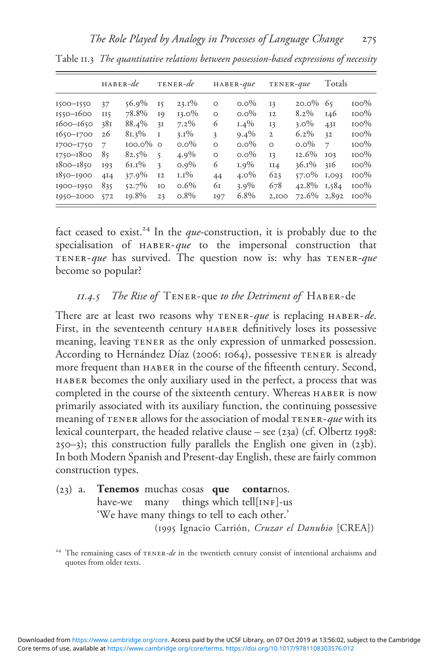|                                                                                                                      | $HABER-de$                                     |                                                                                        |                                                                  | TENER-de                                                                               |                                                                  | $HABER$ -que                                                                         | TENER-que                                                             |                                                                                       | Totals                                                                    |                                                                                      |
|----------------------------------------------------------------------------------------------------------------------|------------------------------------------------|----------------------------------------------------------------------------------------|------------------------------------------------------------------|----------------------------------------------------------------------------------------|------------------------------------------------------------------|--------------------------------------------------------------------------------------|-----------------------------------------------------------------------|---------------------------------------------------------------------------------------|---------------------------------------------------------------------------|--------------------------------------------------------------------------------------|
| 1500-1550<br>1550-1600<br>1600-1650<br>$1650 - 1700$<br>I700-I750<br>$1750 - 1800$<br>$1800 - 1850$<br>$1850 - 1900$ | 37<br>Π٢<br>38I<br>26<br>7<br>85<br>193<br>4I4 | $56.9\%$<br>78.8%<br>88.4%<br>$81.3\%$<br>$100.0\%$ 0<br>$82.5\%$<br>$61.1\%$<br>37.9% | 15<br>19<br>3I<br>I<br>5<br>$\overline{\mathbf{3}}$<br><b>I2</b> | $23.1\%$<br>$13.0\%$<br>$7.2\%$<br>$3.1\%$<br>$0.0\%$<br>$4.9\%$<br>$0.9\%$<br>$1.1\%$ | $\circ$<br>$\Omega$<br>6<br>3<br>$\Omega$<br>$\Omega$<br>6<br>44 | $0.0\%$<br>$0.0\%$<br>$1.4\%$<br>$9.4\%$<br>$0.0\%$<br>$0.0\%$<br>$1.9\%$<br>$4.0\%$ | 13<br><b>I2</b><br>13<br>$\mathbf{2}$<br>$\Omega$<br>13<br>II4<br>623 | $20.0\%$<br>$8.2\%$<br>$3.0\%$<br>$6.2\%$<br>$0.0\%$<br>12.6%<br>$36.1\%$<br>$57.0\%$ | 65<br>146<br>43I<br>32<br>$\overline{\phantom{a}}$<br>IO3<br>316<br>1,093 | $100\%$<br>$100\%$<br>$100\%$<br>$100\%$<br>$100\%$<br>$100\%$<br>$100\%$<br>$100\%$ |
| 1900-1950<br>1950-2000                                                                                               | 835<br>572                                     | 52.7%<br>19.8%                                                                         | IO<br>23                                                         | $0.6\%$<br>$0.8\%$                                                                     | 61<br>197                                                        | $3.9\%$<br>6.8%                                                                      | 678<br>2,100                                                          | 42.8%<br>72.6%                                                                        | 1,584<br>2,892                                                            | $100\%$<br>$100\%$                                                                   |

Table 11.3 The quantitative relations between possession-based expressions of necessity

fact ceased to exist.<sup>24</sup> In the *que*-construction, it is probably due to the specialisation of HABER-que to the impersonal construction that TENER-que has survived. The question now is: why has  $TENER$ -que become so popular?

#### $11.4.5$  The Rise of TENER-que to the Detriment of HABER-de

There are at least two reasons why TENER-que is replacing HABER-de. First, in the seventeenth century haber definitively loses its possessive meaning, leaving TENER as the only expression of unmarked possession. According to Hernández Díaz (2006: 1064), possessive TENER is already more frequent than haber in the course of the fifteenth century. Second, haber becomes the only auxiliary used in the perfect, a process that was completed in the course of the sixteenth century. Whereas HABER is now primarily associated with its auxiliary function, the continuing possessive meaning of TENER allows for the association of modal TENER-que with its lexical counterpart, the headed relative clause – see (23a) (cf. Olbertz 1998: 250–3); this construction fully parallels the English one given in (23b). In both Modern Spanish and Present-day English, these are fairly common construction types.

(23) a. Tenemos muchas cosas que contarnos. have-we many things which tell[INF]-us 'We have many things to tell to each other.' (1995 Ignacio Carrión, Cruzar el Danubio [CREA])

<sup>&</sup>lt;sup>24</sup> The remaining cases of  $TENER-de$  in the twentieth century consist of intentional archaisms and quotes from older texts.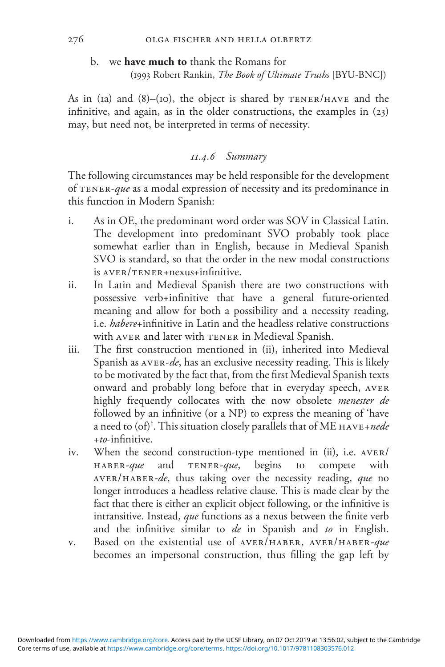#### b. we have much to thank the Romans for

(1993 Robert Rankin, The Book of Ultimate Truths [BYU-BNC])

As in (1a) and  $(8)$ –(10), the object is shared by  $TENER/HAVE$  and the infinitive, and again, as in the older constructions, the examples in (23) may, but need not, be interpreted in terms of necessity.

#### 11.4.6 Summary

The following circumstances may be held responsible for the development of tener-que as a modal expression of necessity and its predominance in this function in Modern Spanish:

- i. As in OE, the predominant word order was SOV in Classical Latin. The development into predominant SVO probably took place somewhat earlier than in English, because in Medieval Spanish SVO is standard, so that the order in the new modal constructions is aver/tener+nexus+infinitive.
- ii. In Latin and Medieval Spanish there are two constructions with possessive verb+infinitive that have a general future-oriented meaning and allow for both a possibility and a necessity reading, i.e. habere+infinitive in Latin and the headless relative constructions with AVER and later with TENER in Medieval Spanish.
- iii. The first construction mentioned in (ii), inherited into Medieval Spanish as  $AVER-de$ , has an exclusive necessity reading. This is likely to be motivated by the fact that, from the first Medieval Spanish texts onward and probably long before that in everyday speech, aver highly frequently collocates with the now obsolete menester de followed by an infinitive (or a NP) to express the meaning of 'have a need to  $($ of)'. This situation closely parallels that of ME  $HAVE+nede$  $+to$ -infinitive.
- iv. When the second construction-type mentioned in (ii), i.e. aver/ haber-que and tener-que, begins to compete with aver/haber-de, thus taking over the necessity reading, que no longer introduces a headless relative clause. This is made clear by the fact that there is either an explicit object following, or the infinitive is intransitive. Instead, que functions as a nexus between the finite verb and the infinitive similar to de in Spanish and to in English.
- v. Based on the existential use of AVER/HABER, AVER/HABER-que becomes an impersonal construction, thus filling the gap left by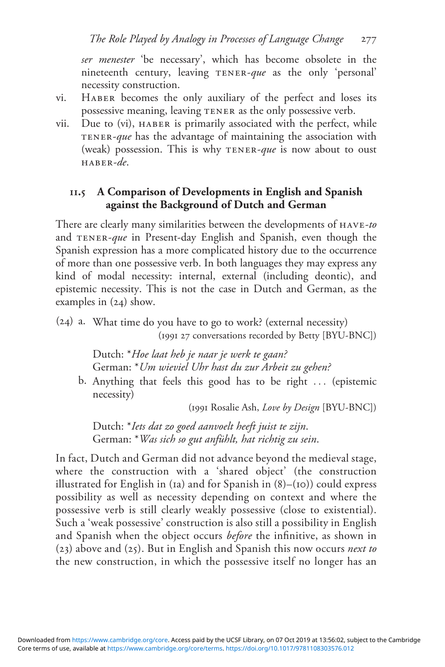ser menester 'be necessary', which has become obsolete in the nineteenth century, leaving TENER-que as the only 'personal' necessity construction.

- vi. Haber becomes the only auxiliary of the perfect and loses its possessive meaning, leaving tener as the only possessive verb.
- vii. Due to (vi), haber is primarily associated with the perfect, while TENER- $que$  has the advantage of maintaining the association with (weak) possession. This is why TENER-que is now about to oust haber-de.

## 11.5 A Comparison of Developments in English and Spanish against the Background of Dutch and German

There are clearly many similarities between the developments of  $HAVE-to$ and TENER-que in Present-day English and Spanish, even though the Spanish expression has a more complicated history due to the occurrence of more than one possessive verb. In both languages they may express any kind of modal necessity: internal, external (including deontic), and epistemic necessity. This is not the case in Dutch and German, as the examples in (24) show.

(24) a. What time do you have to go to work? (external necessity) (1991 27 conversations recorded by Betty [BYU-BNC])

> Dutch: \*Hoe laat heb je naar je werk te gaan? German: \*Um wieviel Uhr hast du zur Arbeit zu gehen?

b. Anything that feels this good has to be right ... (epistemic necessity)

(1991 Rosalie Ash, Love by Design [BYU-BNC])

Dutch: \*Iets dat zo goed aanvoelt heeft juist te zijn. German: \*Was sich so gut anfühlt, hat richtig zu sein.

In fact, Dutch and German did not advance beyond the medieval stage, where the construction with a 'shared object' (the construction illustrated for English in (1a) and for Spanish in  $(8)$ –(10)) could express possibility as well as necessity depending on context and where the possessive verb is still clearly weakly possessive (close to existential). Such a 'weak possessive' construction is also still a possibility in English and Spanish when the object occurs before the infinitive, as shown in (23) above and (25). But in English and Spanish this now occurs next to the new construction, in which the possessive itself no longer has an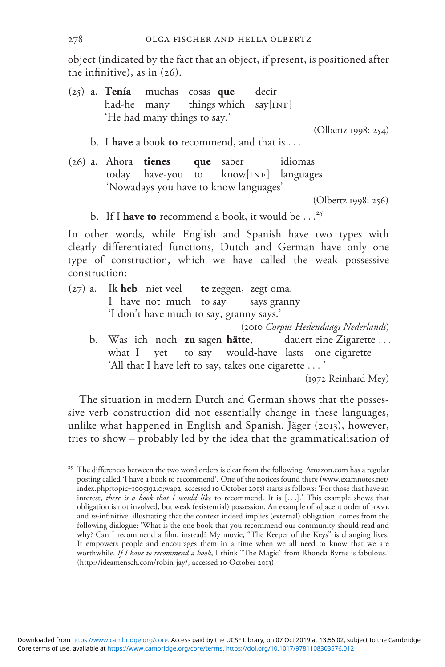object (indicated by the fact that an object, if present, is positioned after the infinitive), as in  $(26)$ .

(25) a. Tenía muchas cosas que decir had-he many things which  $say[INF]$ 'He had many things to say.'

(Olbertz 1998: 254)

- b. I have a book to recommend, and that is  $\dots$
- (26) a. Ahora tienes que saber idiomas today have-you to know[INF] languages 'Nowadays you have to know languages'

(Olbertz 1998: 256)

b. If I have to recommend a book, it would be  $\ldots^{25}$ 

In other words, while English and Spanish have two types with clearly differentiated functions, Dutch and German have only one type of construction, which we have called the weak possessive construction:

 $(27)$  a. Ik heb niet veel te zeggen, zegt oma. I have not much to say says granny 'I don't have much to say, granny says.'

(2010 Corpus Hedendaags Nederlands)

b. Was ich noch zu sagen hätte, dauert eine Zigarette ... what I yet to say would-have lasts one cigarette 'All that I have left to say, takes one cigarette ... '

(1972 Reinhard Mey)

The situation in modern Dutch and German shows that the possessive verb construction did not essentially change in these languages, unlike what happened in English and Spanish. Jäger (2013), however, tries to show – probably led by the idea that the grammaticalisation of

<sup>&</sup>lt;sup>25</sup> The differences between the two word orders is clear from the following. Amazon.com has a regular posting called 'I have a book to recommend'. One of the notices found there [\(www.examnotes.net/](http://www.examnotes.net/index.php?topic=1005192.0;wap2) [index.php?topic=](http://www.examnotes.net/index.php?topic=1005192.0;wap2)1005192.0;wap2, accessed 10 October 2013) starts as follows: 'For those that have an interest, there is a book that I would like to recommend. It is [...].' This example shows that obligation is not involved, but weak (existential) possession. An example of adjacent order of have and to-infinitive, illustrating that the context indeed implies (external) obligation, comes from the following dialogue: 'What is the one book that you recommend our community should read and why? Can I recommend a film, instead? My movie, "The Keeper of the Keys" is changing lives. It empowers people and encourages them in a time when we all need to know that we are worthwhile. If I have to recommend a book, I think "The Magic" from Rhonda Byrne is fabulous.' [\(http://ideamensch.com/robin-jay/,](http://ideamensch.com/robin-jay/) accessed 10 October 2013)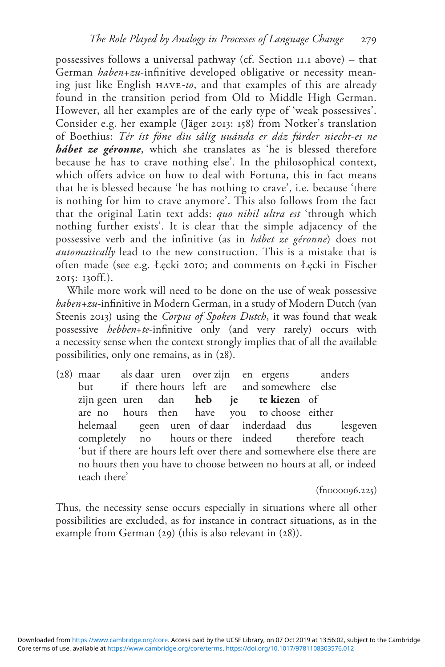possessives follows a universal pathway (cf. Section 11.1 above) – that German haben+zu-infinitive developed obligative or necessity meaning just like English have-to, and that examples of this are already found in the transition period from Old to Middle High German. However, all her examples are of the early type of 'weak possessives'. Consider e.g. her example (Jäger 2013: 158) from Notker's translation of Boethius: Tér íst fóne diu sâlíg uuánda er dáz fúrder niecht-es ne hábet ze géronne, which she translates as 'he is blessed therefore because he has to crave nothing else'. In the philosophical context, which offers advice on how to deal with Fortuna, this in fact means that he is blessed because 'he has nothing to crave', i.e. because 'there is nothing for him to crave anymore'. This also follows from the fact that the original Latin text adds: quo nihil ultra est 'through which nothing further exists'. It is clear that the simple adjacency of the possessive verb and the infinitive (as in hábet ze géronne) does not automatically lead to the new construction. This is a mistake that is often made (see e.g. Łęcki 2010; and comments on Łęcki in Fischer 2015: 130ff.).

While more work will need to be done on the use of weak possessive haben+zu-infinitive in Modern German, in a study of Modern Dutch (van Steenis 2013) using the Corpus of Spoken Dutch, it was found that weak possessive hebben+te-infinitive only (and very rarely) occurs with a necessity sense when the context strongly implies that of all the available possibilities, only one remains, as in (28).

(28) maar als daar uren over zijn en ergens anders but if there hours left are zijn geen uren dan **heb je te kiezen** of are no hours then have you to choose either helemaal geen uren of daar inderdaad dus lesgeven completely no hours or there indeed therefore teach 'but if there are hours left over there and somewhere else there are no hours then you have to choose between no hours at all, or indeed teach there'

(fn000096.225)

Thus, the necessity sense occurs especially in situations where all other possibilities are excluded, as for instance in contract situations, as in the example from German (29) (this is also relevant in (28)).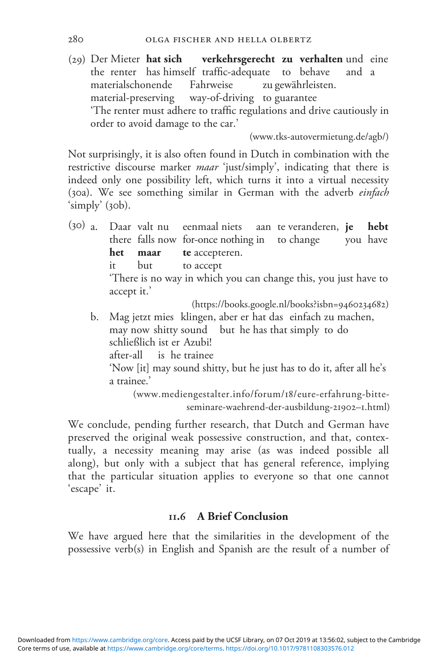(29) Der Mieter hat sich verkehrsgerecht zu verhalten und eine the renter has himself traffic-adequate to behave and a materialschonende Fahrweise zu gewährleisten. material-preserving way-of-driving to guarantee 'The renter must adhere to traffic regulations and drive cautiously in order to avoid damage to the car.'

([www.tks-autovermietung.de/agb/](http://www.tks-autovermietung.de/agb/))

Not surprisingly, it is also often found in Dutch in combination with the restrictive discourse marker *maar* 'just/simply', indicating that there is indeed only one possibility left, which turns it into a virtual necessity (30a). We see something similar in German with the adverb einfach 'simply' (30b).

(30) a. Daar valt nu eenmaal niets aan te veranderen, je hebt there falls now for-once nothing in to change you have het maar te accepteren. it but to accept

'There is no way in which you can change this, you just have to accept it.'

([https://books.google.nl/books?isbn=](https://books.google.nl/books?isbn=9460234682)9460234682)

b. Mag jetzt mies klingen, aber er hat das einfach zu machen, may now shitty sound but he has that simply to do schließlich ist er Azubi! after-all is he trainee

'Now [it] may sound shitty, but he just has to do it, after all he's a trainee.'

([www.mediengestalter.info/forum/](http://www.mediengestalter.info/forum/18/eure-erfahrung-bitte-seminare-waehrend-der-ausbildung-219021.html)18/eure-erfahrung-bitte[seminare-waehrend-der-ausbildung-](http://www.mediengestalter.info/forum/18/eure-erfahrung-bitte-seminare-waehrend-der-ausbildung-219021.html)21902–1.html)

We conclude, pending further research, that Dutch and German have preserved the original weak possessive construction, and that, contextually, a necessity meaning may arise (as was indeed possible all along), but only with a subject that has general reference, implying that the particular situation applies to everyone so that one cannot 'escape' it.

## 11.6 A Brief Conclusion

We have argued here that the similarities in the development of the possessive verb(s) in English and Spanish are the result of a number of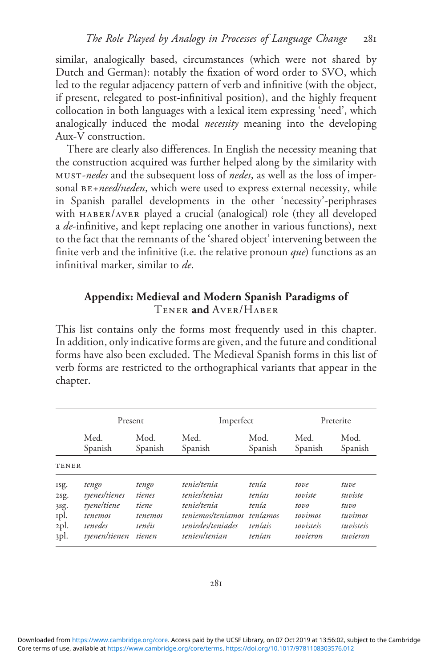similar, analogically based, circumstances (which were not shared by Dutch and German): notably the fixation of word order to SVO, which led to the regular adjacency pattern of verb and infinitive (with the object, if present, relegated to post-infinitival position), and the highly frequent collocation in both languages with a lexical item expressing 'need', which analogically induced the modal necessity meaning into the developing Aux-V construction.

There are clearly also differences. In English the necessity meaning that the construction acquired was further helped along by the similarity with must-nedes and the subsequent loss of nedes, as well as the loss of impersonal  $BE+need/needen$ , which were used to express external necessity, while in Spanish parallel developments in the other 'necessity'-periphrases with haber/aver played a crucial (analogical) role (they all developed a de-infinitive, and kept replacing one another in various functions), next to the fact that the remnants of the 'shared object' intervening between the finite verb and the infinitive (i.e. the relative pronoun  $que$ ) functions as an infinitival marker, similar to de.

## Appendix: Medieval and Modern Spanish Paradigms of Tener and Aver/Haber

This list contains only the forms most frequently used in this chapter. In addition, only indicative forms are given, and the future and conditional forms have also been excluded. The Medieval Spanish forms in this list of verb forms are restricted to the orthographical variants that appear in the chapter.

|              | Present       |         | Imperfect         |          | Preterite |           |
|--------------|---------------|---------|-------------------|----------|-----------|-----------|
|              | Med.          | Mod.    | Med.              | Mod.     | Med.      | Mod.      |
|              | Spanish       | Spanish | Spanish           | Spanish  | Spanish   | Spanish   |
| <b>TENER</b> |               |         |                   |          |           |           |
| Isg.         | tengo         | tengo   | tenie/tenia       | tenía    | tove      | tuve      |
| 2sg.         | tyenes/tienes | tienes  | tenies/tenias     | tenías   | toviste   | tuviste   |
| 3sg.         | tyene/tiene   | tiene   | tenieltenia       | tenía    | tov       | tuvo      |
| Ipl.         | tenemos       | tenemos | teniemos/teniamos | teníamos | tovimos   | tuvimos   |
| 2pl.         | tenedes       | tenéis  | teniedes/teniades | teníais  | tovisteis | tuvisteis |
| 3pl.         | tyenen/tienen | tienen  | tenien/tenian     | tenían   | tovieron  | tuvieron  |

Core terms of use, available at [https://www.cambridge.org/core/terms.](https://www.cambridge.org/core/terms) <https://doi.org/10.1017/9781108303576.012> Downloaded from [https://www.cambridge.org/core.](https://www.cambridge.org/core) Access paid by the UCSF Library, on 07 Oct 2019 at 13:56:02, subject to the Cambridge